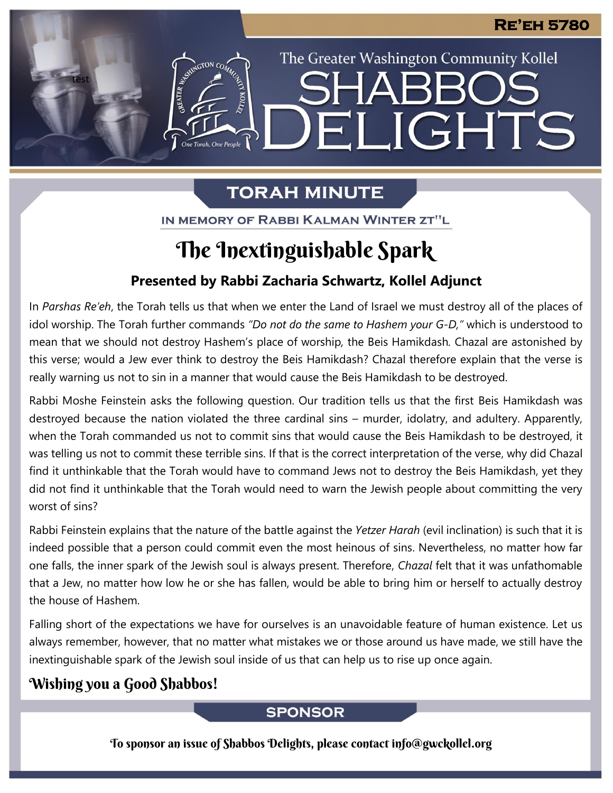The Greater Washington Community Kollel

ELIGHTS

# **TORAH MINUTE**

IN MEMORY OF RABBI KALMAN WINTER ZT"L

# The Inextinguishable Spark

## **Presented by Rabbi Zacharia Schwartz, Kollel Adjunct**

In *Parshas Re'eh*, the Torah tells us that when we enter the Land of Israel we must destroy all of the places of idol worship. The Torah further commands *"Do not do the same to Hashem your G-D,"* which is understood to mean that we should not destroy Hashem's place of worship*,* the Beis Hamikdash*.* Chazal are astonished by this verse; would a Jew ever think to destroy the Beis Hamikdash? Chazal therefore explain that the verse is really warning us not to sin in a manner that would cause the Beis Hamikdash to be destroyed. **From our archives**

Rabbi Moshe Feinstein asks the following question. Our tradition tells us that the first Beis Hamikdash was destroyed because the nation violated the three cardinal sins – murder, idolatry, and adultery. Apparently, when the Torah commanded us not to commit sins that would cause the Beis Hamikdash to be destroyed, it was telling us not to commit these terrible sins. If that is the correct interpretation of the verse, why did Chazal find it unthinkable that the Torah would have to command Jews not to destroy the Beis Hamikdash, yet they did not find it unthinkable that the Torah would need to warn the Jewish people about committing the very worst of sins?

Rabbi Feinstein explains that the nature of the battle against the *Yetzer Harah* (evil inclination) is such that it is indeed possible that a person could commit even the most heinous of sins. Nevertheless, no matter how far one falls, the inner spark of the Jewish soul is always present. Therefore, *Chazal* felt that it was unfathomable that a Jew, no matter how low he or she has fallen, would be able to bring him or herself to actually destroy the house of Hashem.

Falling short of the expectations we have for ourselves is an unavoidable feature of human existence. Let us always remember, however, that no matter what mistakes we or those around us have made, we still have the inextinguishable spark of the Jewish soul inside of us that can help us to rise up once again.

## Wishing you a Good Shabbos!

test

## **SPONSOR**

To sponsor an issue of Shabbos Delights, please contact info@gwckollel.org